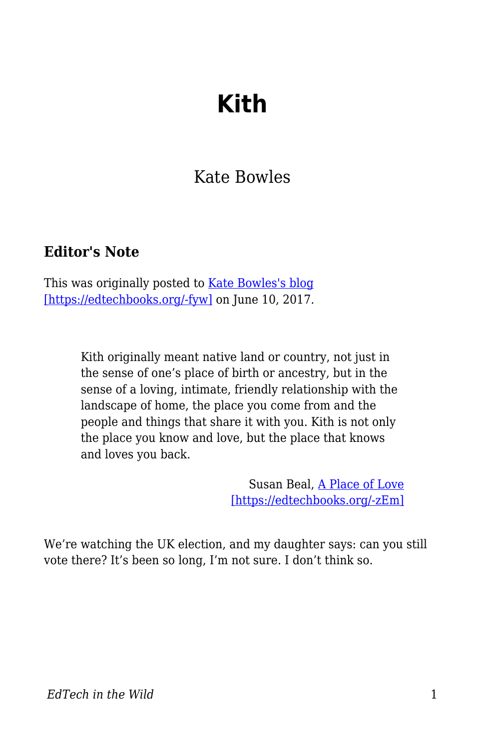## **Kith**

## Kate Bowles

## **Editor's Note**

This was originally posted to [Kate Bowles's blog](http://musicfordeckchairs.com/blog/2017/06/10/kith/) [\[https://edtechbooks.org/-fyw\]](http://musicfordeckchairs.com/blog/2017/06/10/kith/) on June 10, 2017.

> Kith originally meant native land or country, not just in the sense of one's place of birth or ancestry, but in the sense of a loving, intimate, friendly relationship with the landscape of home, the place you come from and the people and things that share it with you. Kith is not only the place you know and love, but the place that knows and loves you back.

> > Susan Beal, [A Place of Love](https://lorian.org/a-place-of-love/) [\[https://edtechbooks.org/-zEm\]](https://lorian.org/a-place-of-love/)

We're watching the UK election, and my daughter says: can you still vote there? It's been so long, I'm not sure. I don't think so.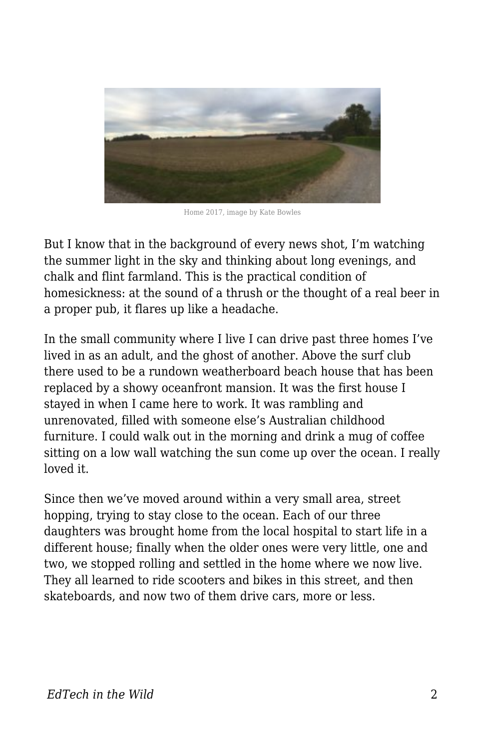

Home 2017, image by Kate Bowles

But I know that in the background of every news shot, I'm watching the summer light in the sky and thinking about long evenings, and chalk and flint farmland. This is the practical condition of homesickness: at the sound of a thrush or the thought of a real beer in a proper pub, it flares up like a headache.

In the small community where I live I can drive past three homes I've lived in as an adult, and the ghost of another. Above the surf club there used to be a rundown weatherboard beach house that has been replaced by a showy oceanfront mansion. It was the first house I stayed in when I came here to work. It was rambling and unrenovated, filled with someone else's Australian childhood furniture. I could walk out in the morning and drink a mug of coffee sitting on a low wall watching the sun come up over the ocean. I really loved it.

Since then we've moved around within a very small area, street hopping, trying to stay close to the ocean. Each of our three daughters was brought home from the local hospital to start life in a different house; finally when the older ones were very little, one and two, we stopped rolling and settled in the home where we now live. They all learned to ride scooters and bikes in this street, and then skateboards, and now two of them drive cars, more or less.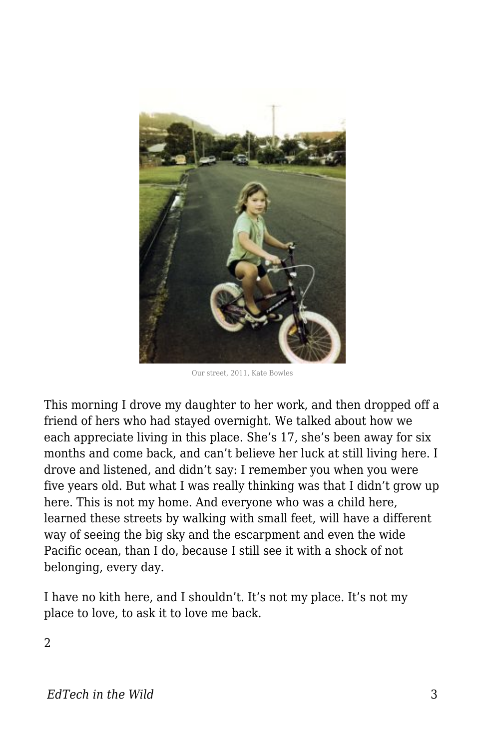

Our street, 2011, Kate Bowles

This morning I drove my daughter to her work, and then dropped off a friend of hers who had stayed overnight. We talked about how we each appreciate living in this place. She's 17, she's been away for six months and come back, and can't believe her luck at still living here. I drove and listened, and didn't say: I remember you when you were five years old. But what I was really thinking was that I didn't grow up here. This is not my home. And everyone who was a child here, learned these streets by walking with small feet, will have a different way of seeing the big sky and the escarpment and even the wide Pacific ocean, than I do, because I still see it with a shock of not belonging, every day.

I have no kith here, and I shouldn't. It's not my place. It's not my place to love, to ask it to love me back.

2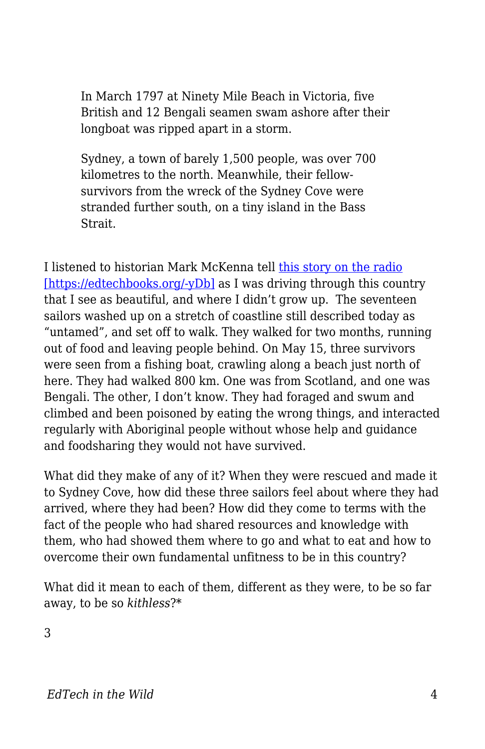In March 1797 at Ninety Mile Beach in Victoria, five British and 12 Bengali seamen swam ashore after their longboat was ripped apart in a storm.

Sydney, a town of barely 1,500 people, was over 700 kilometres to the north. Meanwhile, their fellowsurvivors from the wreck of the Sydney Cove were stranded further south, on a tiny island in the Bass Strait.

I listened to historian Mark McKenna tell [this story on the radio](http://www.abc.net.au/news/2017-05-30/survival-story-sydney-coves-shipwrecked-sailors/8536714) [\[https://edtechbooks.org/-yDb\]](http://www.abc.net.au/news/2017-05-30/survival-story-sydney-coves-shipwrecked-sailors/8536714) as I was driving through this country that I see as beautiful, and where I didn't grow up. The seventeen sailors washed up on a stretch of coastline still described today as "untamed", and set off to walk. They walked for two months, running out of food and leaving people behind. On May 15, three survivors were seen from a fishing boat, crawling along a beach just north of here. They had walked 800 km. One was from Scotland, and one was Bengali. The other, I don't know. They had foraged and swum and climbed and been poisoned by eating the wrong things, and interacted regularly with Aboriginal people without whose help and guidance and foodsharing they would not have survived.

What did they make of any of it? When they were rescued and made it to Sydney Cove, how did these three sailors feel about where they had arrived, where they had been? How did they come to terms with the fact of the people who had shared resources and knowledge with them, who had showed them where to go and what to eat and how to overcome their own fundamental unfitness to be in this country?

What did it mean to each of them, different as they were, to be so far away, to be so *kithless*?\*

3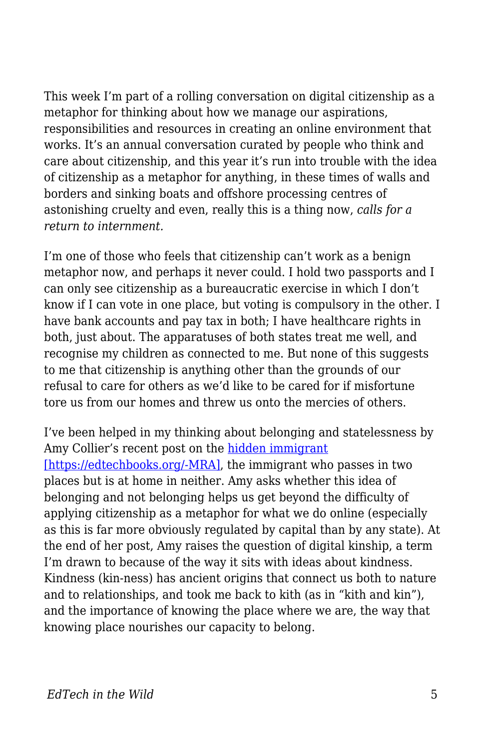This week I'm part of a rolling conversation on digital citizenship as a metaphor for thinking about how we manage our aspirations, responsibilities and resources in creating an online environment that works. It's an annual conversation curated by people who think and care about citizenship, and this year it's run into trouble with the idea of citizenship as a metaphor for anything, in these times of walls and borders and sinking boats and offshore processing centres of astonishing cruelty and even, really this is a thing now, *calls for a return to internment.*

I'm one of those who feels that citizenship can't work as a benign metaphor now, and perhaps it never could. I hold two passports and I can only see citizenship as a bureaucratic exercise in which I don't know if I can vote in one place, but voting is compulsory in the other. I have bank accounts and pay tax in both; I have healthcare rights in both, just about. The apparatuses of both states treat me well, and recognise my children as connected to me. But none of this suggests to me that citizenship is anything other than the grounds of our refusal to care for others as we'd like to be cared for if misfortune tore us from our homes and threw us onto the mercies of others.

I've been helped in my thinking about belonging and statelessness by Amy Collier's recent post on the [hidden immigrant](http://redpincushion.us/blog/teaching-and-learning/hidden-immigrants-belonging/) [\[https://edtechbooks.org/-MRA\],](http://redpincushion.us/blog/teaching-and-learning/hidden-immigrants-belonging/) the immigrant who passes in two places but is at home in neither. Amy asks whether this idea of belonging and not belonging helps us get beyond the difficulty of applying citizenship as a metaphor for what we do online (especially as this is far more obviously regulated by capital than by any state). At the end of her post, Amy raises the question of digital kinship, a term I'm drawn to because of the way it sits with ideas about kindness. Kindness (kin-ness) has ancient origins that connect us both to nature and to relationships, and took me back to kith (as in "kith and kin"), and the importance of knowing the place where we are, the way that knowing place nourishes our capacity to belong.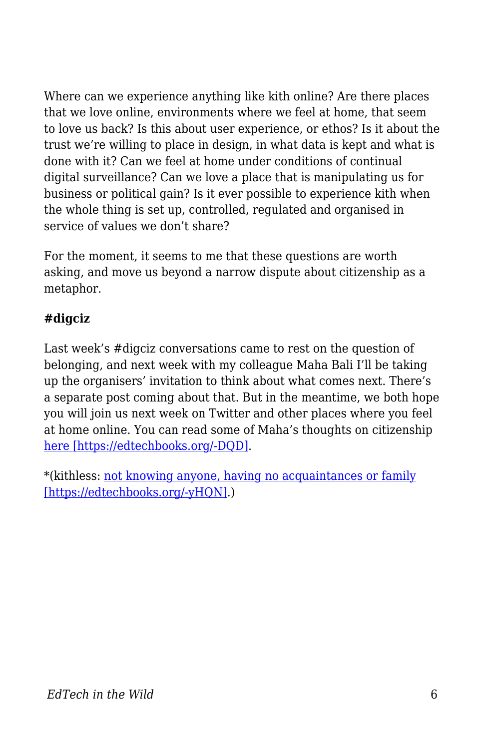Where can we experience anything like kith online? Are there places that we love online, environments where we feel at home, that seem to love us back? Is this about user experience, or ethos? Is it about the trust we're willing to place in design, in what data is kept and what is done with it? Can we feel at home under conditions of continual digital surveillance? Can we love a place that is manipulating us for business or political gain? Is it ever possible to experience kith when the whole thing is set up, controlled, regulated and organised in service of values we don't share?

For the moment, it seems to me that these questions are worth asking, and move us beyond a narrow dispute about citizenship as a metaphor.

## **#digciz**

Last week's #digciz conversations came to rest on the question of belonging, and next week with my colleague Maha Bali I'll be taking up the organisers' invitation to think about what comes next. There's a separate post coming about that. But in the meantime, we both hope you will join us next week on Twitter and other places where you feel at home online. You can read some of Maha's thoughts on citizenship [here \[https://edtechbooks.org/-DQD\].](https://blog.mahabali.me/citizenship-2/citizenship-in-spite-of-digciz/)

\*(kithless: [not knowing anyone, having no acquaintances or family](https://en.wiktionary.org/wiki/kithless#English) [\[https://edtechbooks.org/-yHQN\].](https://en.wiktionary.org/wiki/kithless#English))